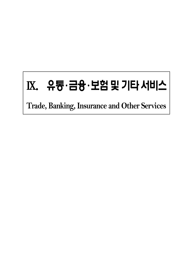# Ⅸ. 유통·금융·보험 및 기타 서비스

**Trade, Banking, Insurance and Other Services**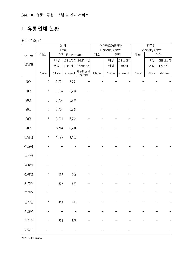## **1. 유통업체 현황**

단위 : 개소, ㎡

|        | 합계             |       |                | 대형마트(할인점)               |                |       | 전문점                    |       |       |          |
|--------|----------------|-------|----------------|-------------------------|----------------|-------|------------------------|-------|-------|----------|
|        | Total          |       |                |                         | Discount Store |       | <b>Specialty Store</b> |       |       |          |
| 연<br>별 | 개소             |       | 면적 Floor space |                         | 개소             |       | 면적                     | 개소    |       | 면적       |
|        |                | 매장    | 건물연면적 대지면적(시장) |                         |                | 매장    | 건물연면적                  |       | 매장    | 건물연면적    |
| 읍면별    |                | 면적    | Establi-       | Plottage                |                | 면적    | Establi-               |       | 면적    | Establi- |
|        | Place          | Store | shment         | (traditional<br>market) | Place          | Store | shment                 | Place | Store | shment   |
| 2004   | $\overline{5}$ | 3,704 | 3,704          |                         |                |       |                        |       |       |          |
| 2005   | $\sqrt{5}$     | 3,704 | 3,704          |                         |                |       |                        |       |       |          |
| 2006   | 5              | 3,704 | 3,704          |                         |                |       |                        |       |       |          |
| 2007   | 5              | 3,704 | 3,704          |                         |                |       |                        |       |       |          |
| 2008   | 5              | 3,704 | 3,704          |                         |                |       |                        |       |       |          |
| 2009   | 5              | 3,704 | 3,704          |                         |                |       |                        |       |       |          |
| 영암읍    | $\mathbf{1}$   | 1,125 | 1,125          |                         |                |       |                        |       |       |          |
| 삼호읍    |                |       |                |                         |                |       |                        |       |       |          |
| 덕진면    |                |       |                |                         |                |       |                        |       |       |          |
| 금정면    |                |       |                |                         |                |       |                        |       |       |          |
| 신북면    | $\mathbf{1}$   | 669   | 669            |                         |                |       |                        |       |       |          |
| 시종면    | $\mathbf{1}$   | 672   | 672            |                         |                |       |                        |       |       |          |
| 도포면    |                |       |                |                         |                |       |                        |       |       |          |
| 군서면    | 1              | 413   | 413            |                         |                |       |                        |       |       |          |
| 서호면    |                |       |                |                         |                |       |                        |       |       |          |
| 학산면    | $\mathbf{1}$   | 825   | 825            |                         |                |       |                        |       |       |          |
| 미암면    |                |       |                |                         |                |       |                        |       |       |          |

자료 : 지역경제과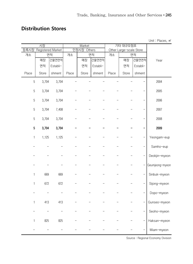#### **Distribution Stores**

|              |                   |          |        |             |          |          |                         |                          | Unit: Places, m <sup>2</sup> |
|--------------|-------------------|----------|--------|-------------|----------|----------|-------------------------|--------------------------|------------------------------|
| 시장           |                   |          | Market |             |          | 기타 대규모점포 |                         |                          |                              |
| 등록시장         | Registered Market |          |        | 인정시장 Others |          |          | Other Large-scale Store |                          |                              |
| 개소           |                   | 면적       | 개소     | 면적          |          | 개소       | 면적                      |                          |                              |
|              | 매장                | 건물연면적    |        | 매장          | 건물연면적    |          | 매장                      | 건물연면적                    | Year                         |
|              | 면적                | Establi- |        | 면적          | Establi- |          | 면적                      | Establi-                 |                              |
| Place        | Store             | shment   | Place  | Store       | shment   | Place    | Store                   | shment                   |                              |
| $\sqrt{5}$   | 3,704             | 3,704    |        |             |          |          |                         |                          | 2004                         |
| $\sqrt{5}$   | 3,704             | 3,704    |        |             |          |          |                         |                          | 2005                         |
| $\sqrt{5}$   | 3,704             | 3,704    |        |             |          |          |                         |                          | 2006                         |
| $\sqrt{5}$   | 3,704             | 7,408    |        |             |          |          |                         |                          | 2007                         |
| $\sqrt{5}$   | 3,704             | 3,704    |        |             |          |          |                         |                          | 2008                         |
| $\sqrt{5}$   | 3,704             | 3,704    |        |             |          |          |                         |                          | 2009                         |
| $\mathbf{1}$ | 1,125             | 1,125    |        |             |          |          |                         |                          | Yeongam-eup                  |
|              |                   |          |        |             |          |          |                         |                          | Samho-eup                    |
|              |                   |          |        |             |          |          |                         |                          | Deokjin-myeon                |
|              |                   |          |        |             |          |          |                         |                          | Geumjeong-myeon              |
| 1            | 669               | 669      |        |             |          |          |                         | $\overline{\phantom{0}}$ | Sinbuk-myeon                 |
| 1            | 672               | 672      |        |             |          |          |                         |                          | Sijong-myeon                 |
|              |                   |          |        |             |          |          |                         |                          | Dopo-myeon                   |
| $\mathbf{1}$ | 413               | 413      |        |             |          |          |                         |                          | Gunseo-myeon                 |
|              |                   |          |        |             |          |          |                         |                          | Seoho-myeon                  |
| 1            | 825               | 825      |        |             |          |          |                         |                          | Haksan-myeon                 |
|              |                   |          |        |             |          |          |                         |                          | Miam-myeon                   |

Source : Regional Economy Division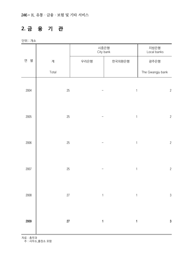## **2. 금 융 기 관**

단위 : 개소

|        |        | 시중은행<br>City bank | 지방은행<br>Local banks |                  |
|--------|--------|-------------------|---------------------|------------------|
| 연<br>별 | 계      | 우리은행              | 한국외환은행              | 광주은행             |
|        | Total  |                   |                     | The Gwangju bank |
| 2004   | 25     |                   | $\mathbf{1}$        | $\sqrt{2}$       |
| 2005   | 25     |                   | $\mathbf 1$         | $\sqrt{2}$       |
| 2006   | $25\,$ |                   | $\mathbf{1}$        | $\sqrt{2}$       |
| 2007   | $25\,$ |                   | $\mathbf{1}$        | $\sqrt{2}$       |
| 2008   | 27     | $\mathbf{1}$      | $\mathbf{1}$        | $\sqrt{3}$       |
| 2009   | 27     | $\mathbf{1}$      | $\mathbf{1}$        | 3                |

자료 : 총무과

주 : 사무소,출장소 포함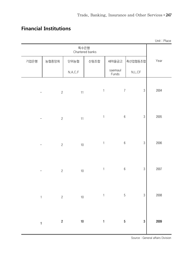#### **Financial Institutions**

|               |                  |         |              |                  |                  | Unit: Place |
|---------------|------------------|---------|--------------|------------------|------------------|-------------|
|               |                  |         |              |                  |                  |             |
| 기업은행<br>농협중앙회 |                  | 단위농협    | 산림조합         | 새마을금고            | 축산업협동조합          | Year        |
|               |                  | N.A.C.F |              | saemaul<br>Funds | N.L.CF           |             |
|               | $\sqrt{2}$       | 11      | $\mathbf 1$  | $\boldsymbol{7}$ | $3\,$            | 2004        |
|               | $\sqrt{2}$       | 11      | $\mathbf{1}$ | $\,6\,$          | $\sqrt{3}$       | 2005        |
|               | $\sqrt{2}$       | $10\,$  | $\mathbf{1}$ | $\,6\,$          | $\sqrt{3}$       | 2006        |
|               | $\sqrt{2}$       | $10\,$  | $\mathbf{1}$ | $\,6\,$          | $3\,$            | 2007        |
| $\mathbf{1}$  | $\sqrt{2}$       | $10$    | $\mathbf{1}$ | $\sqrt{5}$       | $\sqrt{3}$       | 2008        |
| $\mathbf{1}$  | $\boldsymbol{2}$ | $10\,$  | $\mathbf{1}$ | $\sqrt{5}$       | $\boldsymbol{3}$ | 2009        |

Source : General affairs Division